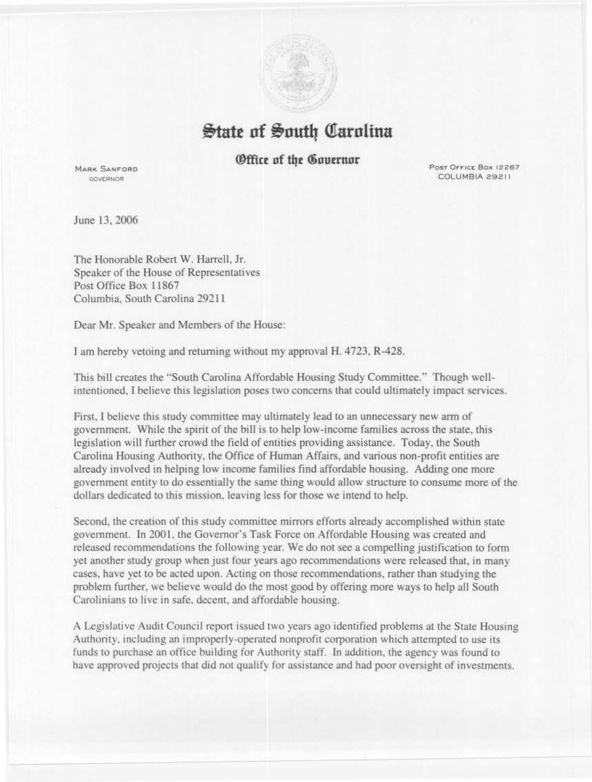

## $\frac{1}{2}$ tate of South Carolina

## **(Office of the Governor**

**MARK SANFORD GOVERNOR** 

Post Office Box 12267 COLUMBIA 29211

June 13, 2006

The Honorable Robert W. Harrell, Jr. Speaker of the House of Representatives Post Office Box 11867 Columbia, South Carolina 29211

Dear Mr. Speaker and Members of the House:

*1* am hereby vetoing and returning without my approval H. 4723, R-428.

This bill creates the "South Carolina Affordable Housing Study Committee." Though wellintentioned, I believe this legislation poses two concerns that could ultimately impact services.

First, ! believe this study committee may ultimately lead to an unnecessary new arm of government. While the spirit of the bill is to help low-income families across the state, this legjslation will further crowd the field of entities providing assistance. Today, the South Carolina Housing Authority, the Office of Human Affairs, and various non-profit entities are already involved in helping low income families find affordable housing. Adding one more government entity to do essentially the same thing would allow structure to consume more of the dollars dedicated to this mission, leaving less for those we intend to help.

Second, the creation of this study committee mirrors efforts already accomplished within state government. In 2001, the Governor's Task Force on Affordable Housing was created and released recommendations the following year. We do not see a compelling justification to form yet another study group when just four years ago recommendations were released that, in many cases, have yet to be acted upon. Acting on those recommendations, rather than studying the problem further. we believe would do the most good by offering more ways to help all South Carolinians to live in safe, decent, and affordable housing.

A Legislative Audit Council report issued two years ago identified problems at the State Housing Authority. including an improperly-operated nonprofit corporation which attempted to use its funds to purchase an office building for Authority staff. ln addition, the agency was found to have approved projects that did not qualify for assistance and had poor oversight of investments.